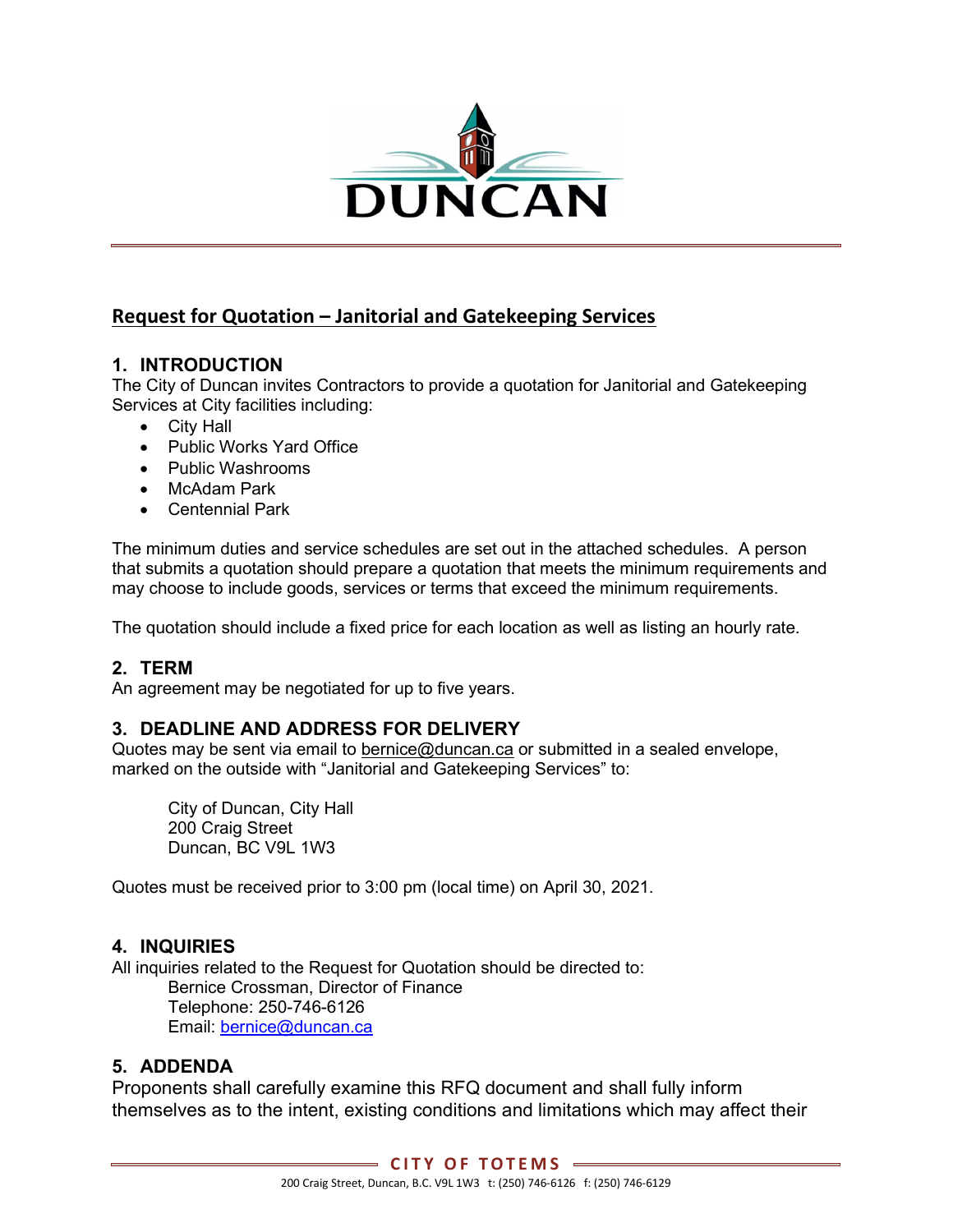

## Request for Quotation – Janitorial and Gatekeeping Services

#### 1. INTRODUCTION

The City of Duncan invites Contractors to provide a quotation for Janitorial and Gatekeeping Services at City facilities including:

- City Hall
- Public Works Yard Office
- Public Washrooms
- McAdam Park
- Centennial Park

The minimum duties and service schedules are set out in the attached schedules. A person that submits a quotation should prepare a quotation that meets the minimum requirements and may choose to include goods, services or terms that exceed the minimum requirements.

The quotation should include a fixed price for each location as well as listing an hourly rate.

#### 2. TERM

An agreement may be negotiated for up to five years.

#### 3. DEADLINE AND ADDRESS FOR DELIVERY

Quotes may be sent via email to bernice@duncan.ca or submitted in a sealed envelope, marked on the outside with "Janitorial and Gatekeeping Services" to:

City of Duncan, City Hall 200 Craig Street Duncan, BC V9L 1W3

Quotes must be received prior to 3:00 pm (local time) on April 30, 2021.

#### 4. INQUIRIES

All inquiries related to the Request for Quotation should be directed to: Bernice Crossman, Director of Finance Telephone: 250-746-6126 Email: bernice@duncan.ca

#### 5. ADDENDA

Proponents shall carefully examine this RFQ document and shall fully inform themselves as to the intent, existing conditions and limitations which may affect their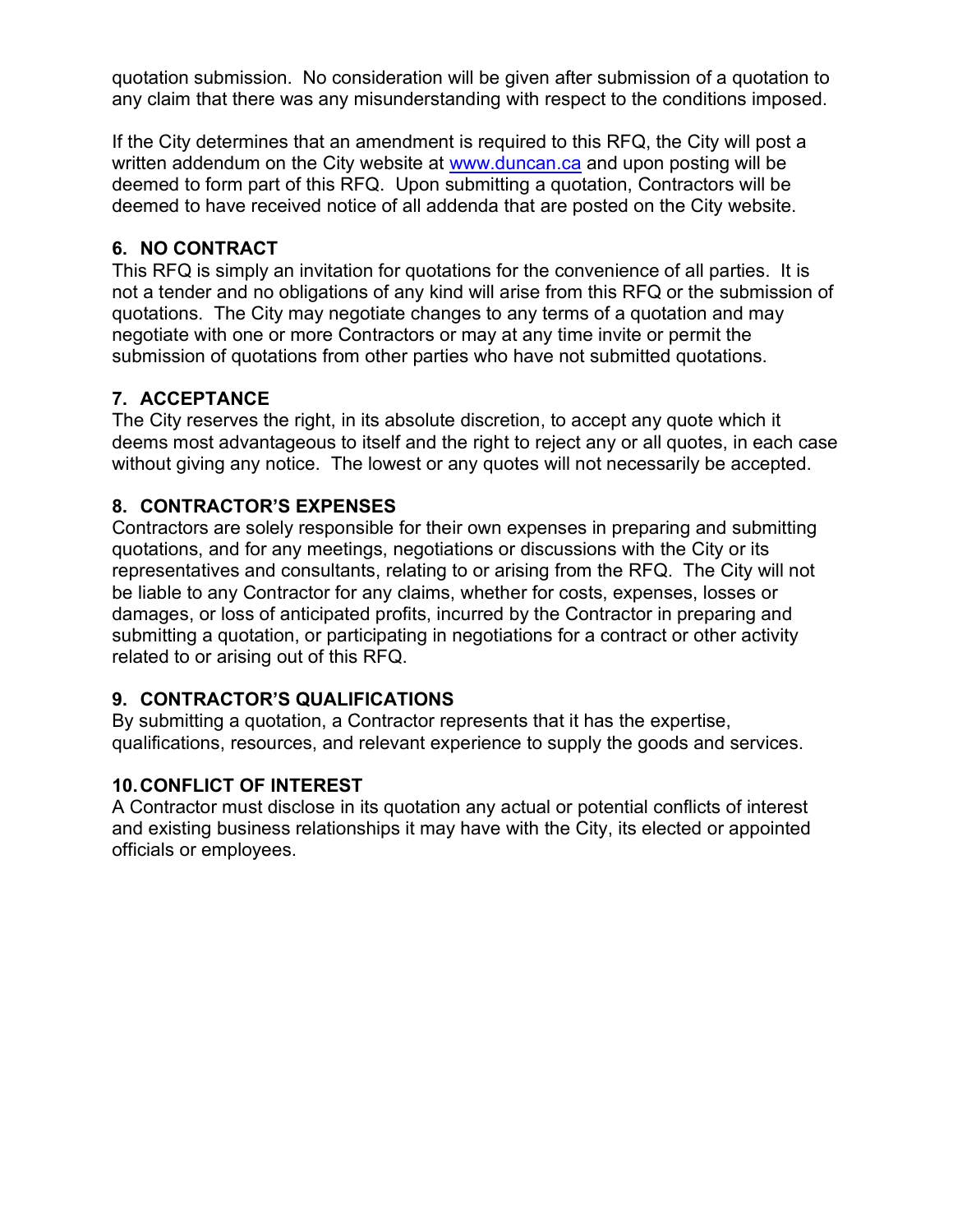quotation submission. No consideration will be given after submission of a quotation to any claim that there was any misunderstanding with respect to the conditions imposed.

If the City determines that an amendment is required to this RFQ, the City will post a written addendum on the City website at www.duncan.ca and upon posting will be deemed to form part of this RFQ. Upon submitting a quotation, Contractors will be deemed to have received notice of all addenda that are posted on the City website.

### 6. NO CONTRACT

This RFQ is simply an invitation for quotations for the convenience of all parties. It is not a tender and no obligations of any kind will arise from this RFQ or the submission of quotations. The City may negotiate changes to any terms of a quotation and may negotiate with one or more Contractors or may at any time invite or permit the submission of quotations from other parties who have not submitted quotations.

### 7. ACCEPTANCE

The City reserves the right, in its absolute discretion, to accept any quote which it deems most advantageous to itself and the right to reject any or all quotes, in each case without giving any notice. The lowest or any quotes will not necessarily be accepted.

### 8. CONTRACTOR'S EXPENSES

Contractors are solely responsible for their own expenses in preparing and submitting quotations, and for any meetings, negotiations or discussions with the City or its representatives and consultants, relating to or arising from the RFQ. The City will not be liable to any Contractor for any claims, whether for costs, expenses, losses or damages, or loss of anticipated profits, incurred by the Contractor in preparing and submitting a quotation, or participating in negotiations for a contract or other activity related to or arising out of this RFQ.

### 9. CONTRACTOR'S QUALIFICATIONS

By submitting a quotation, a Contractor represents that it has the expertise, qualifications, resources, and relevant experience to supply the goods and services.

### 10. CONFLICT OF INTEREST

A Contractor must disclose in its quotation any actual or potential conflicts of interest and existing business relationships it may have with the City, its elected or appointed officials or employees.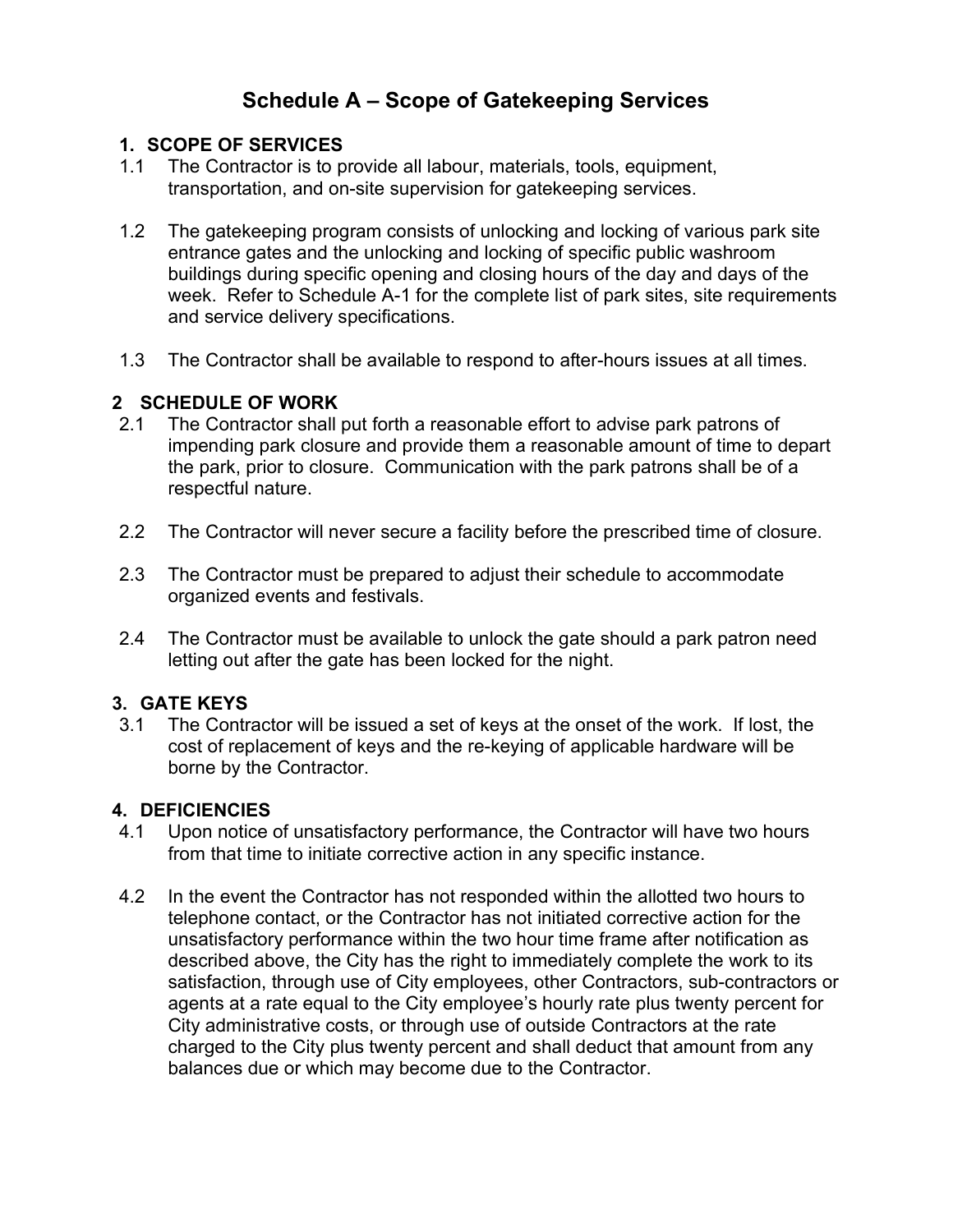# Schedule A – Scope of Gatekeeping Services

#### 1. SCOPE OF SERVICES

- 1.1 The Contractor is to provide all labour, materials, tools, equipment, transportation, and on-site supervision for gatekeeping services.
- 1.2 The gatekeeping program consists of unlocking and locking of various park site entrance gates and the unlocking and locking of specific public washroom buildings during specific opening and closing hours of the day and days of the week. Refer to Schedule A-1 for the complete list of park sites, site requirements and service delivery specifications.
- 1.3 The Contractor shall be available to respond to after-hours issues at all times.

#### 2 SCHEDULE OF WORK

- 2.1 The Contractor shall put forth a reasonable effort to advise park patrons of impending park closure and provide them a reasonable amount of time to depart the park, prior to closure. Communication with the park patrons shall be of a respectful nature.
- 2.2 The Contractor will never secure a facility before the prescribed time of closure.
- 2.3 The Contractor must be prepared to adjust their schedule to accommodate organized events and festivals.
- 2.4 The Contractor must be available to unlock the gate should a park patron need letting out after the gate has been locked for the night.

#### 3. GATE KEYS

3.1 The Contractor will be issued a set of keys at the onset of the work. If lost, the cost of replacement of keys and the re-keying of applicable hardware will be borne by the Contractor.

#### 4. DEFICIENCIES

- 4.1 Upon notice of unsatisfactory performance, the Contractor will have two hours from that time to initiate corrective action in any specific instance.
- 4.2 In the event the Contractor has not responded within the allotted two hours to telephone contact, or the Contractor has not initiated corrective action for the unsatisfactory performance within the two hour time frame after notification as described above, the City has the right to immediately complete the work to its satisfaction, through use of City employees, other Contractors, sub-contractors or agents at a rate equal to the City employee's hourly rate plus twenty percent for City administrative costs, or through use of outside Contractors at the rate charged to the City plus twenty percent and shall deduct that amount from any balances due or which may become due to the Contractor.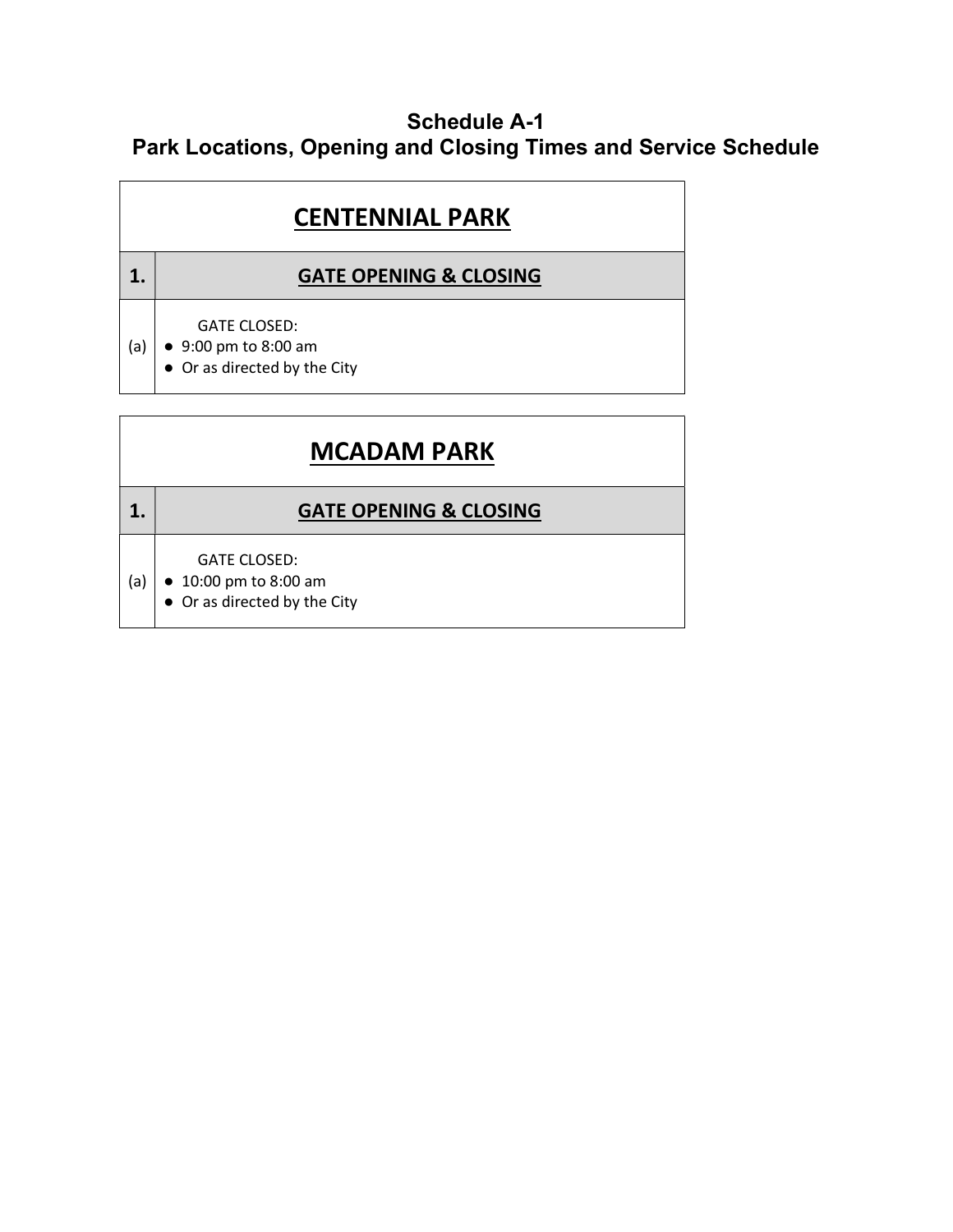## Schedule A-1 Park Locations, Opening and Closing Times and Service Schedule

|     | <b>CENTENNIAL PARK</b>                                                              |  |  |  |  |
|-----|-------------------------------------------------------------------------------------|--|--|--|--|
|     | <b>GATE OPENING &amp; CLOSING</b>                                                   |  |  |  |  |
| (a) | <b>GATE CLOSED:</b><br>$\bullet$ 9:00 pm to 8:00 am<br>• Or as directed by the City |  |  |  |  |

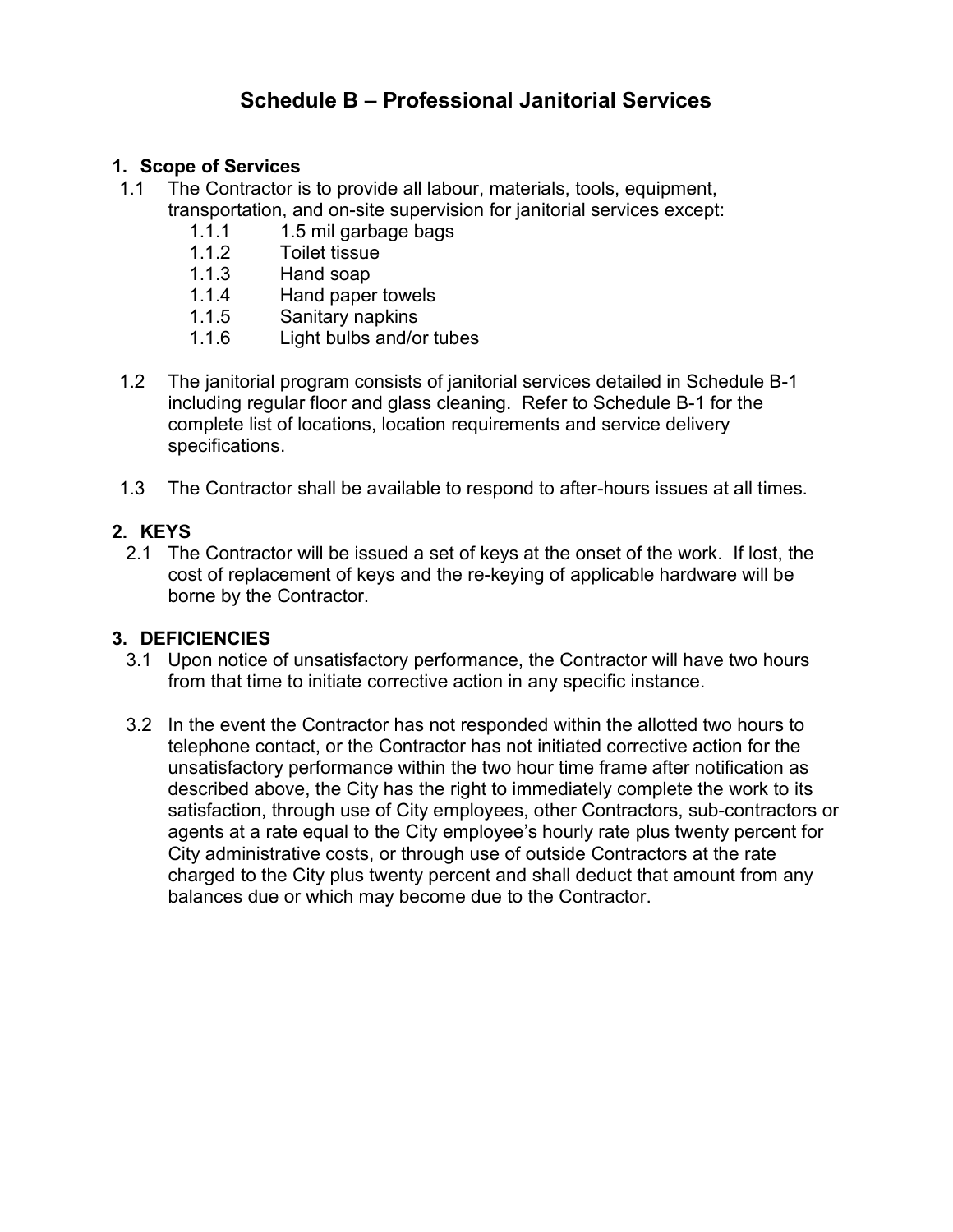# Schedule B – Professional Janitorial Services

#### 1. Scope of Services

- 1.1 The Contractor is to provide all labour, materials, tools, equipment, transportation, and on-site supervision for janitorial services except:
	- 1.1.1 1.5 mil garbage bags
	- 1.1.2 Toilet tissue
	- 1.1.3 Hand soap
	- 1.1.4 Hand paper towels
	- 1.1.5 Sanitary napkins
	- 1.1.6 Light bulbs and/or tubes
- 1.2 The janitorial program consists of janitorial services detailed in Schedule B-1 including regular floor and glass cleaning. Refer to Schedule B-1 for the complete list of locations, location requirements and service delivery specifications.
- 1.3 The Contractor shall be available to respond to after-hours issues at all times.

### 2. KEYS

2.1 The Contractor will be issued a set of keys at the onset of the work. If lost, the cost of replacement of keys and the re-keying of applicable hardware will be borne by the Contractor.

### 3. DEFICIENCIES

- 3.1 Upon notice of unsatisfactory performance, the Contractor will have two hours from that time to initiate corrective action in any specific instance.
- 3.2 In the event the Contractor has not responded within the allotted two hours to telephone contact, or the Contractor has not initiated corrective action for the unsatisfactory performance within the two hour time frame after notification as described above, the City has the right to immediately complete the work to its satisfaction, through use of City employees, other Contractors, sub-contractors or agents at a rate equal to the City employee's hourly rate plus twenty percent for City administrative costs, or through use of outside Contractors at the rate charged to the City plus twenty percent and shall deduct that amount from any balances due or which may become due to the Contractor.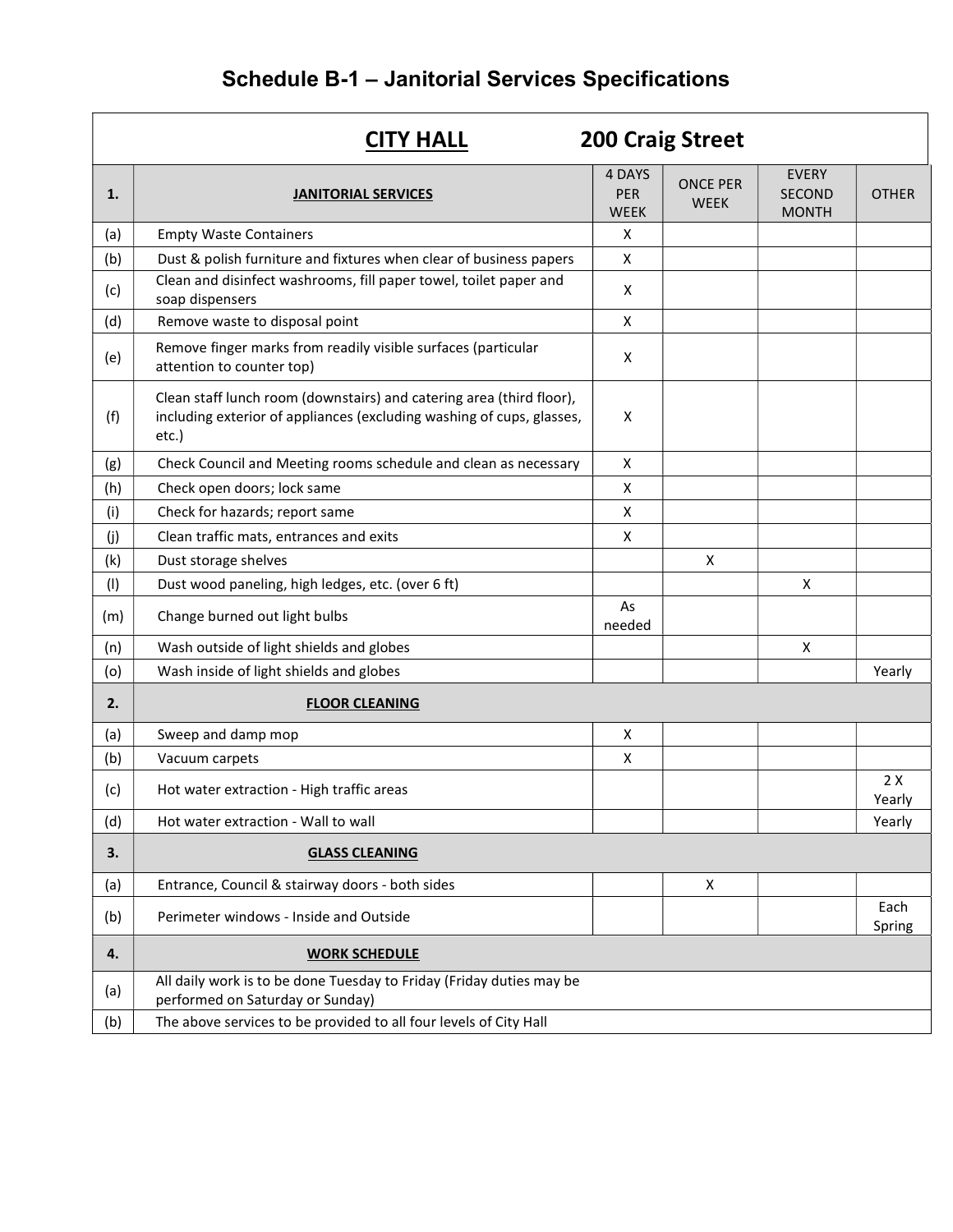# Schedule B-1 – Janitorial Services Specifications

|     | <b>200 Craig Street</b><br><b>CITY HALL</b>                                                                                                            |                                     |                                |                                               |                |  |
|-----|--------------------------------------------------------------------------------------------------------------------------------------------------------|-------------------------------------|--------------------------------|-----------------------------------------------|----------------|--|
| 1.  | <b>JANITORIAL SERVICES</b>                                                                                                                             | 4 DAYS<br><b>PER</b><br><b>WEEK</b> | <b>ONCE PER</b><br><b>WEEK</b> | <b>EVERY</b><br><b>SECOND</b><br><b>MONTH</b> | <b>OTHER</b>   |  |
| (a) | <b>Empty Waste Containers</b>                                                                                                                          | X                                   |                                |                                               |                |  |
| (b) | Dust & polish furniture and fixtures when clear of business papers                                                                                     | X                                   |                                |                                               |                |  |
| (c) | Clean and disinfect washrooms, fill paper towel, toilet paper and<br>soap dispensers                                                                   | X                                   |                                |                                               |                |  |
| (d) | Remove waste to disposal point                                                                                                                         | X                                   |                                |                                               |                |  |
| (e) | Remove finger marks from readily visible surfaces (particular<br>attention to counter top)                                                             | X                                   |                                |                                               |                |  |
| (f) | Clean staff lunch room (downstairs) and catering area (third floor),<br>including exterior of appliances (excluding washing of cups, glasses,<br>etc.) | X                                   |                                |                                               |                |  |
| (g) | Check Council and Meeting rooms schedule and clean as necessary                                                                                        | X                                   |                                |                                               |                |  |
| (h) | Check open doors; lock same                                                                                                                            | X                                   |                                |                                               |                |  |
| (i) | Check for hazards; report same                                                                                                                         | X                                   |                                |                                               |                |  |
| (j) | Clean traffic mats, entrances and exits                                                                                                                | X                                   |                                |                                               |                |  |
| (k) | Dust storage shelves                                                                                                                                   |                                     | X                              |                                               |                |  |
| (1) | Dust wood paneling, high ledges, etc. (over 6 ft)                                                                                                      |                                     |                                | X                                             |                |  |
| (m) | Change burned out light bulbs                                                                                                                          | As<br>needed                        |                                |                                               |                |  |
| (n) | Wash outside of light shields and globes                                                                                                               |                                     |                                | X                                             |                |  |
| (o) | Wash inside of light shields and globes                                                                                                                |                                     |                                |                                               | Yearly         |  |
| 2.  | <b>FLOOR CLEANING</b>                                                                                                                                  |                                     |                                |                                               |                |  |
| (a) | Sweep and damp mop                                                                                                                                     | X                                   |                                |                                               |                |  |
| (b) | Vacuum carpets                                                                                                                                         | X                                   |                                |                                               |                |  |
| (c) | Hot water extraction - High traffic areas                                                                                                              |                                     |                                |                                               | 2X<br>Yearly   |  |
| (d) | Hot water extraction - Wall to wall                                                                                                                    |                                     |                                |                                               | Yearly         |  |
| 3.  | <b>GLASS CLEANING</b>                                                                                                                                  |                                     |                                |                                               |                |  |
| (a) | Entrance, Council & stairway doors - both sides                                                                                                        |                                     | X                              |                                               |                |  |
| (b) | Perimeter windows - Inside and Outside                                                                                                                 |                                     |                                |                                               | Each<br>Spring |  |
| 4.  | <b>WORK SCHEDULE</b>                                                                                                                                   |                                     |                                |                                               |                |  |
| (a) | All daily work is to be done Tuesday to Friday (Friday duties may be<br>performed on Saturday or Sunday)                                               |                                     |                                |                                               |                |  |
| (b) | The above services to be provided to all four levels of City Hall                                                                                      |                                     |                                |                                               |                |  |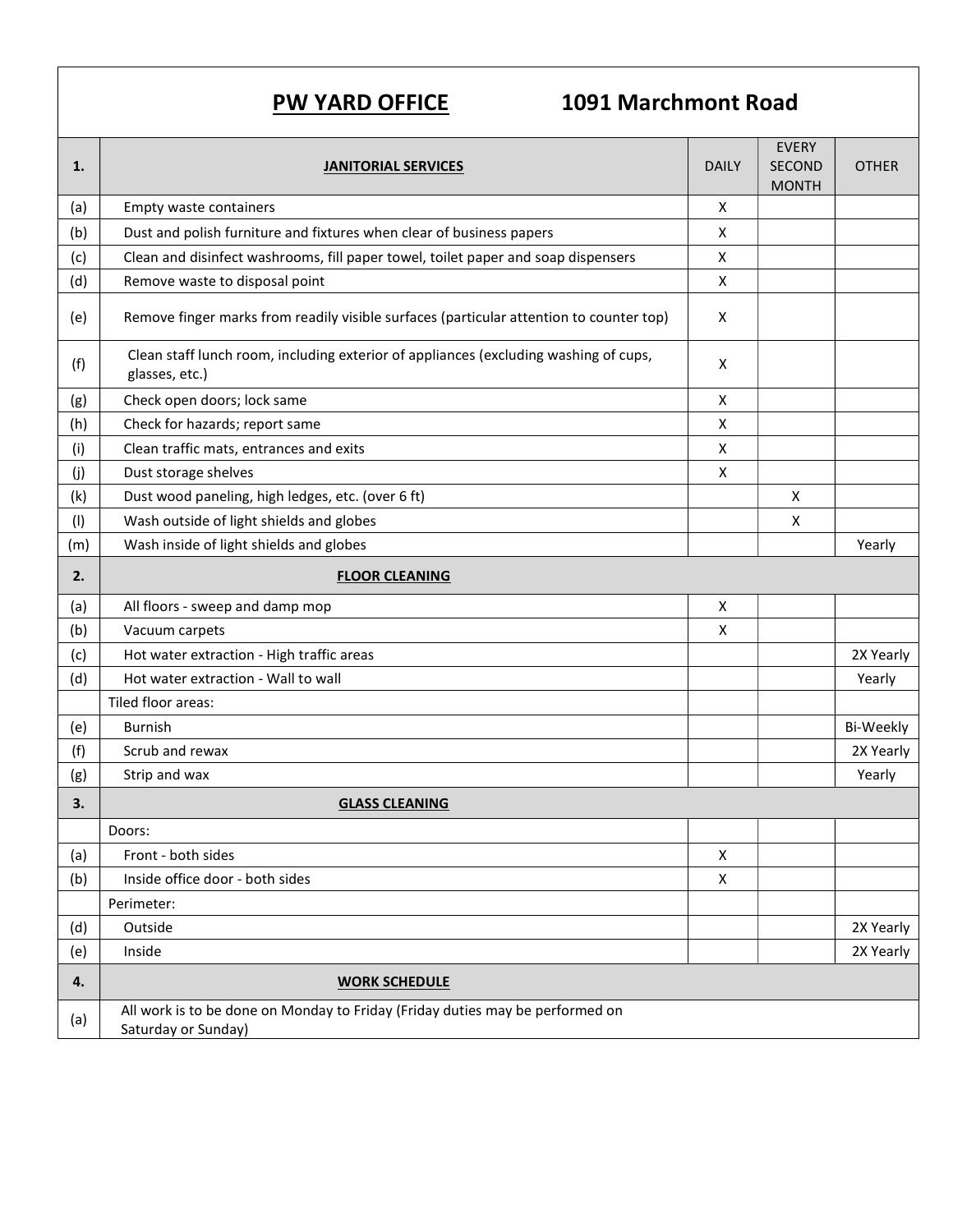# PW YARD OFFICE 1091 Marchmont Road

| 1.  | <b>JANITORIAL SERVICES</b>                                                                             | <b>DAILY</b> | <b>EVERY</b><br>SECOND<br><b>MONTH</b> | <b>OTHER</b> |
|-----|--------------------------------------------------------------------------------------------------------|--------------|----------------------------------------|--------------|
| (a) | <b>Empty waste containers</b>                                                                          | X            |                                        |              |
| (b) | Dust and polish furniture and fixtures when clear of business papers                                   | X            |                                        |              |
| (c) | Clean and disinfect washrooms, fill paper towel, toilet paper and soap dispensers                      | X            |                                        |              |
| (d) | Remove waste to disposal point                                                                         | X            |                                        |              |
| (e) | Remove finger marks from readily visible surfaces (particular attention to counter top)                | X            |                                        |              |
| (f) | Clean staff lunch room, including exterior of appliances (excluding washing of cups,<br>glasses, etc.) | X            |                                        |              |
| (g) | Check open doors; lock same                                                                            | X            |                                        |              |
| (h) | Check for hazards; report same                                                                         | X            |                                        |              |
| (i) | Clean traffic mats, entrances and exits                                                                | X            |                                        |              |
| (j) | Dust storage shelves                                                                                   | X            |                                        |              |
| (k) | Dust wood paneling, high ledges, etc. (over 6 ft)                                                      |              | X                                      |              |
| (1) | Wash outside of light shields and globes                                                               |              | X                                      |              |
| (m) | Wash inside of light shields and globes                                                                |              |                                        | Yearly       |
| 2.  | <b>FLOOR CLEANING</b>                                                                                  |              |                                        |              |
| (a) | All floors - sweep and damp mop                                                                        | X            |                                        |              |
| (b) | Vacuum carpets                                                                                         | X            |                                        |              |
| (c) | Hot water extraction - High traffic areas                                                              |              |                                        | 2X Yearly    |
| (d) | Hot water extraction - Wall to wall                                                                    |              |                                        | Yearly       |
|     | Tiled floor areas:                                                                                     |              |                                        |              |
| (e) | <b>Burnish</b>                                                                                         |              |                                        | Bi-Weekly    |
| (f) | Scrub and rewax                                                                                        |              |                                        | 2X Yearly    |
| (g) | Strip and wax                                                                                          |              |                                        | Yearly       |
| 3.  | <b>GLASS CLEANING</b>                                                                                  |              |                                        |              |
|     | Doors:                                                                                                 |              |                                        |              |
| (a) | Front - both sides                                                                                     | X            |                                        |              |
| (b) | Inside office door - both sides                                                                        | Χ            |                                        |              |
|     | Perimeter:                                                                                             |              |                                        |              |
| (d) | Outside                                                                                                |              |                                        | 2X Yearly    |
| (e) | Inside                                                                                                 |              |                                        | 2X Yearly    |
| 4.  | <b>WORK SCHEDULE</b>                                                                                   |              |                                        |              |
| (a) | All work is to be done on Monday to Friday (Friday duties may be performed on<br>Saturday or Sunday)   |              |                                        |              |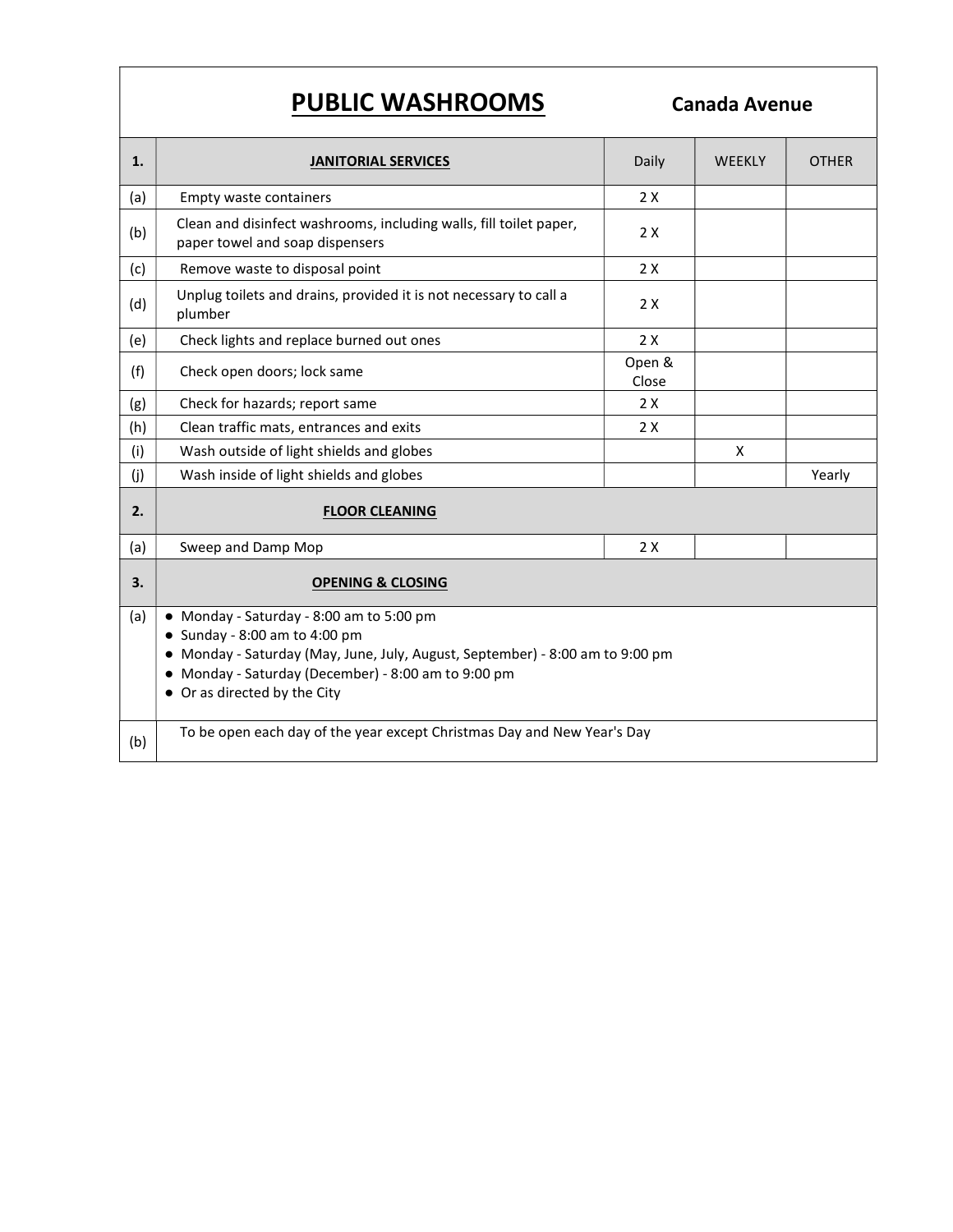# PUBLIC WASHROOMS Canada Avenue

| 1.  | <b>JANITORIAL SERVICES</b>                                                                                                                                                                                                                              | Daily           | <b>WEEKLY</b> | <b>OTHER</b> |  |
|-----|---------------------------------------------------------------------------------------------------------------------------------------------------------------------------------------------------------------------------------------------------------|-----------------|---------------|--------------|--|
| (a) | Empty waste containers                                                                                                                                                                                                                                  | 2X              |               |              |  |
| (b) | Clean and disinfect washrooms, including walls, fill toilet paper,<br>paper towel and soap dispensers                                                                                                                                                   | 2X              |               |              |  |
| (c) | Remove waste to disposal point                                                                                                                                                                                                                          | 2X              |               |              |  |
| (d) | Unplug toilets and drains, provided it is not necessary to call a<br>plumber                                                                                                                                                                            | 2X              |               |              |  |
| (e) | Check lights and replace burned out ones                                                                                                                                                                                                                | 2X              |               |              |  |
| (f) | Check open doors; lock same                                                                                                                                                                                                                             | Open &<br>Close |               |              |  |
| (g) | Check for hazards; report same                                                                                                                                                                                                                          | 2X              |               |              |  |
| (h) | Clean traffic mats, entrances and exits                                                                                                                                                                                                                 | 2X              |               |              |  |
| (i) | Wash outside of light shields and globes                                                                                                                                                                                                                |                 | X             |              |  |
| (j) | Wash inside of light shields and globes                                                                                                                                                                                                                 |                 |               | Yearly       |  |
| 2.  | <b>FLOOR CLEANING</b>                                                                                                                                                                                                                                   |                 |               |              |  |
| (a) | Sweep and Damp Mop                                                                                                                                                                                                                                      | 2X              |               |              |  |
| 3.  | <b>OPENING &amp; CLOSING</b>                                                                                                                                                                                                                            |                 |               |              |  |
| (a) | • Monday - Saturday - 8:00 am to 5:00 pm<br>$\bullet$ Sunday - 8:00 am to 4:00 pm<br>Monday - Saturday (May, June, July, August, September) - 8:00 am to 9:00 pm<br>• Monday - Saturday (December) - 8:00 am to 9:00 pm<br>• Or as directed by the City |                 |               |              |  |
| (b) | To be open each day of the year except Christmas Day and New Year's Day                                                                                                                                                                                 |                 |               |              |  |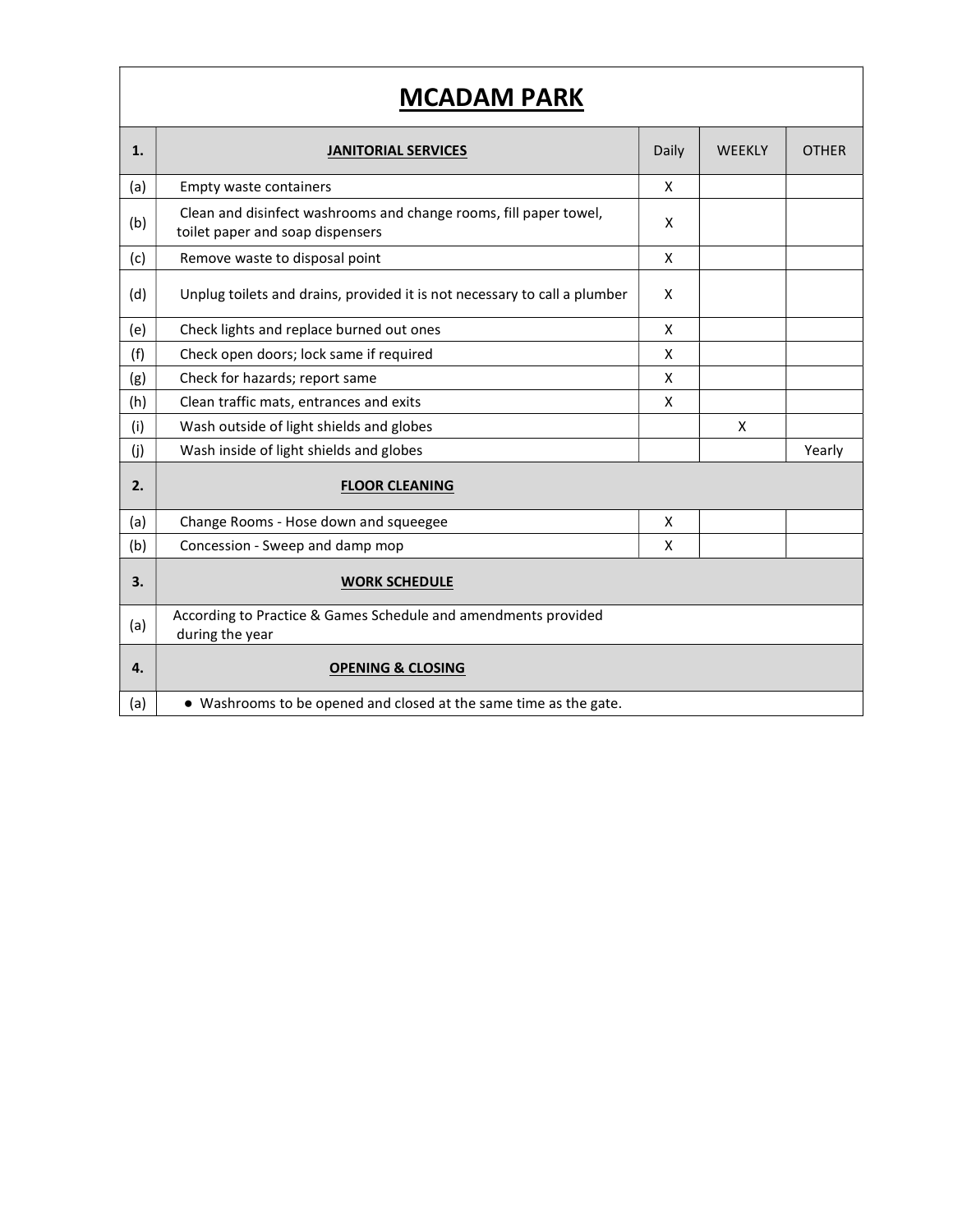| 1.  | <b>JANITORIAL SERVICES</b>                                                                            | Daily | <b>WEEKLY</b> | <b>OTHER</b> |
|-----|-------------------------------------------------------------------------------------------------------|-------|---------------|--------------|
| (a) | <b>Empty waste containers</b>                                                                         | X     |               |              |
| (b) | Clean and disinfect washrooms and change rooms, fill paper towel,<br>toilet paper and soap dispensers | X     |               |              |
| (c) | Remove waste to disposal point                                                                        | X     |               |              |
| (d) | Unplug toilets and drains, provided it is not necessary to call a plumber                             | X     |               |              |
| (e) | Check lights and replace burned out ones                                                              | X     |               |              |
| (f) | Check open doors; lock same if required                                                               | X     |               |              |
| (g) | Check for hazards; report same                                                                        | X     |               |              |
| (h) | Clean traffic mats, entrances and exits                                                               | X     |               |              |
| (i) | Wash outside of light shields and globes                                                              |       | X             |              |
| (j) | Wash inside of light shields and globes                                                               |       |               | Yearly       |
| 2.  | <b>FLOOR CLEANING</b>                                                                                 |       |               |              |
| (a) | Change Rooms - Hose down and squeegee                                                                 | X     |               |              |
| (b) | Concession - Sweep and damp mop                                                                       | X     |               |              |
| 3.  | <b>WORK SCHEDULE</b>                                                                                  |       |               |              |
| (a) | According to Practice & Games Schedule and amendments provided<br>during the year                     |       |               |              |
| 4.  | <b>OPENING &amp; CLOSING</b>                                                                          |       |               |              |
| (a) | • Washrooms to be opened and closed at the same time as the gate.                                     |       |               |              |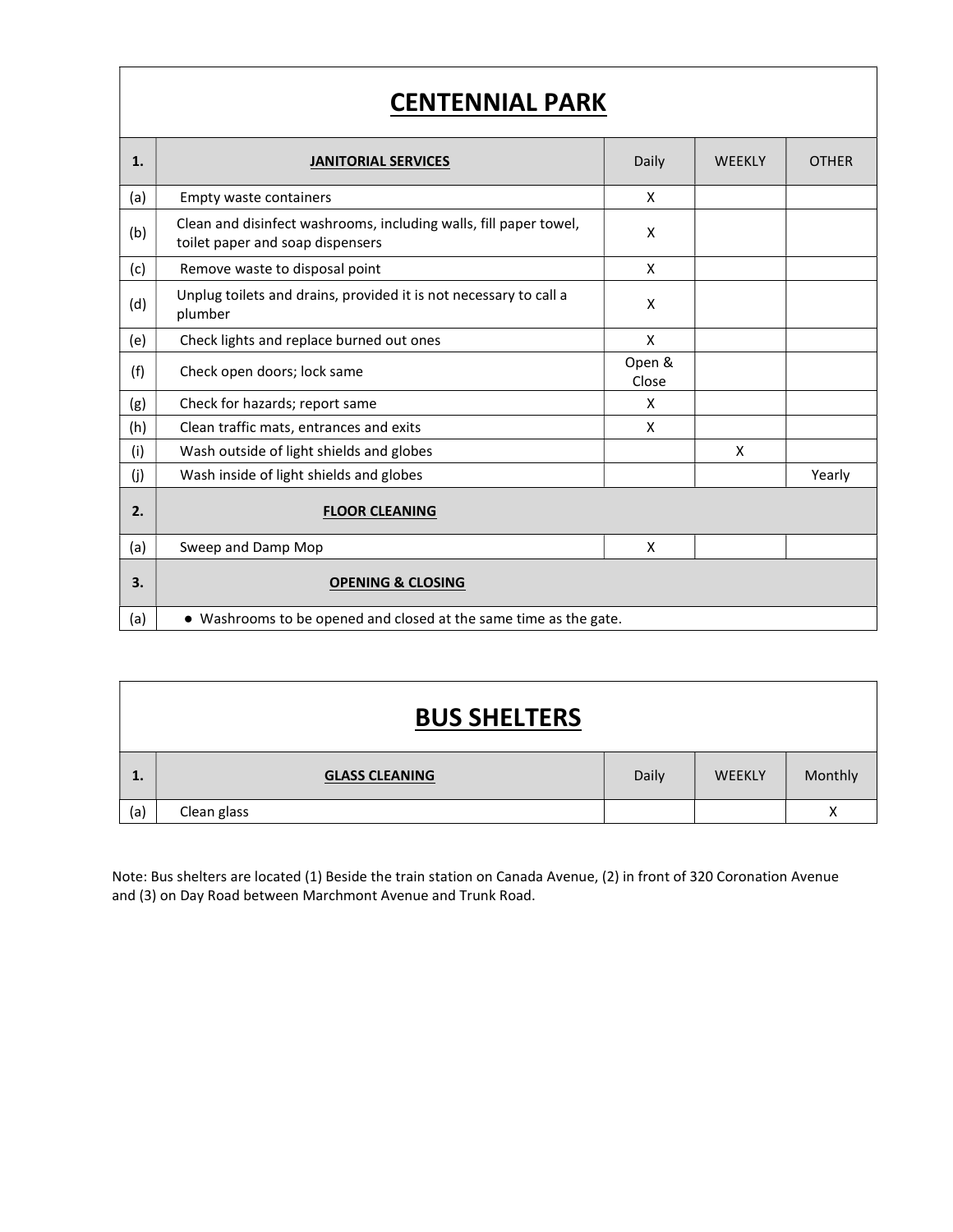# CENTENNIAL PARK

| 1.  | <b>JANITORIAL SERVICES</b>                                                                            | Daily           | <b>WEEKLY</b> | <b>OTHER</b> |
|-----|-------------------------------------------------------------------------------------------------------|-----------------|---------------|--------------|
| (a) | Empty waste containers                                                                                | X               |               |              |
| (b) | Clean and disinfect washrooms, including walls, fill paper towel,<br>toilet paper and soap dispensers | X               |               |              |
| (c) | Remove waste to disposal point                                                                        | X               |               |              |
| (d) | Unplug toilets and drains, provided it is not necessary to call a<br>plumber                          | X               |               |              |
| (e) | Check lights and replace burned out ones                                                              | X               |               |              |
| (f) | Check open doors; lock same                                                                           | Open &<br>Close |               |              |
| (g) | Check for hazards; report same                                                                        | X               |               |              |
| (h) | Clean traffic mats, entrances and exits                                                               | X               |               |              |
| (i) | Wash outside of light shields and globes                                                              |                 | X             |              |
| (j) | Wash inside of light shields and globes                                                               |                 |               | Yearly       |
| 2.  | <b>FLOOR CLEANING</b>                                                                                 |                 |               |              |
| (a) | Sweep and Damp Mop                                                                                    | X               |               |              |
| 3.  | <b>OPENING &amp; CLOSING</b>                                                                          |                 |               |              |
| (a) | • Washrooms to be opened and closed at the same time as the gate.                                     |                 |               |              |

| <b>BUS SHELTERS</b> |                       |       |               |         |  |  |
|---------------------|-----------------------|-------|---------------|---------|--|--|
| 1.                  | <b>GLASS CLEANING</b> | Daily | <b>WEEKLY</b> | Monthly |  |  |
| (a)                 | Clean glass           |       |               | Χ       |  |  |

Note: Bus shelters are located (1) Beside the train station on Canada Avenue, (2) in front of 320 Coronation Avenue and (3) on Day Road between Marchmont Avenue and Trunk Road.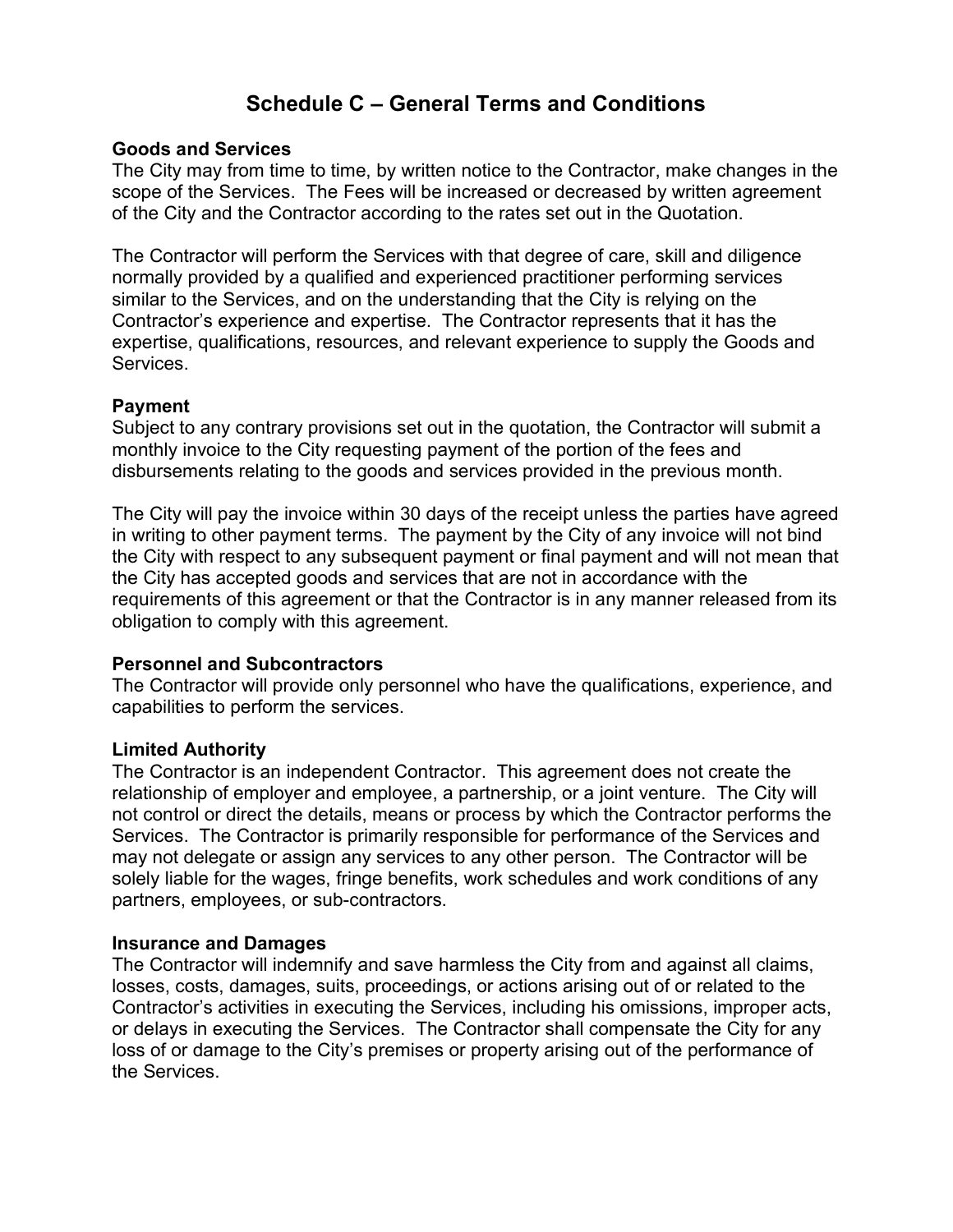# Schedule C – General Terms and Conditions

#### Goods and Services

The City may from time to time, by written notice to the Contractor, make changes in the scope of the Services. The Fees will be increased or decreased by written agreement of the City and the Contractor according to the rates set out in the Quotation.

The Contractor will perform the Services with that degree of care, skill and diligence normally provided by a qualified and experienced practitioner performing services similar to the Services, and on the understanding that the City is relying on the Contractor's experience and expertise. The Contractor represents that it has the expertise, qualifications, resources, and relevant experience to supply the Goods and Services.

#### Payment

Subject to any contrary provisions set out in the quotation, the Contractor will submit a monthly invoice to the City requesting payment of the portion of the fees and disbursements relating to the goods and services provided in the previous month.

The City will pay the invoice within 30 days of the receipt unless the parties have agreed in writing to other payment terms. The payment by the City of any invoice will not bind the City with respect to any subsequent payment or final payment and will not mean that the City has accepted goods and services that are not in accordance with the requirements of this agreement or that the Contractor is in any manner released from its obligation to comply with this agreement.

#### Personnel and Subcontractors

The Contractor will provide only personnel who have the qualifications, experience, and capabilities to perform the services.

#### Limited Authority

The Contractor is an independent Contractor. This agreement does not create the relationship of employer and employee, a partnership, or a joint venture. The City will not control or direct the details, means or process by which the Contractor performs the Services. The Contractor is primarily responsible for performance of the Services and may not delegate or assign any services to any other person. The Contractor will be solely liable for the wages, fringe benefits, work schedules and work conditions of any partners, employees, or sub-contractors.

#### Insurance and Damages

The Contractor will indemnify and save harmless the City from and against all claims, losses, costs, damages, suits, proceedings, or actions arising out of or related to the Contractor's activities in executing the Services, including his omissions, improper acts, or delays in executing the Services. The Contractor shall compensate the City for any loss of or damage to the City's premises or property arising out of the performance of the Services.